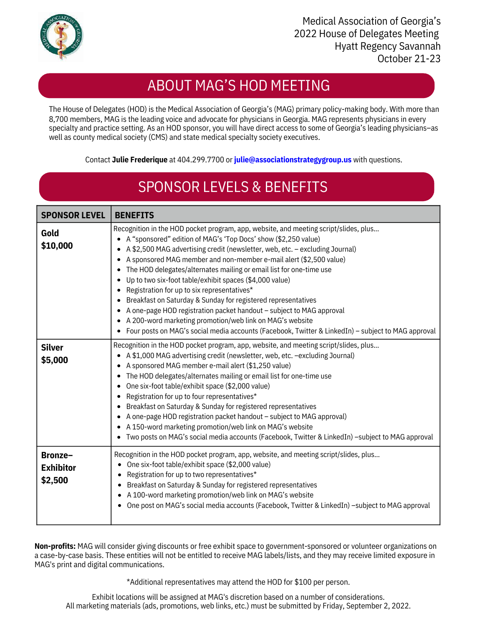

### ABOUT MAG'S HOD MEETING

8,700 members, MAG is the leading voice and advocate for physicians in Georgia. MAG represents physicians in every specialty and practice setting. As an HOD sponsor, you will have direct access to some of Georgia's leading physicians–as well as county medical society (CMS) and state medical specialty society executives. The House of Delegates (HOD) is the Medical Association of Georgia's (MAG) primary policy-making body. With more than

Contact **Julie Frederique** at 404.299.7700 or **julie[@associationstrategygroup.us](mailto:sydney@associationstrategygroup.us)** [w](mailto:sydney@associationstrategygroup.us)ith questions.

# SPONSOR LEVELS & BENEFITS

| <b>SPONSOR LEVEL</b>                   | <b>BENEFITS</b>                                                                                                                                                                                                                                                                                                                                                                                                                                                                                                                                                                                                                                                                                                                                                                                                                       |
|----------------------------------------|---------------------------------------------------------------------------------------------------------------------------------------------------------------------------------------------------------------------------------------------------------------------------------------------------------------------------------------------------------------------------------------------------------------------------------------------------------------------------------------------------------------------------------------------------------------------------------------------------------------------------------------------------------------------------------------------------------------------------------------------------------------------------------------------------------------------------------------|
| Gold<br>\$10,000                       | Recognition in the HOD pocket program, app, website, and meeting script/slides, plus<br>• A "sponsored" edition of MAG's 'Top Docs' show (\$2,250 value)<br>• A \$2,500 MAG advertising credit (newsletter, web, etc. - excluding Journal)<br>• A sponsored MAG member and non-member e-mail alert (\$2,500 value)<br>The HOD delegates/alternates mailing or email list for one-time use<br>$\bullet$<br>Up to two six-foot table/exhibit spaces (\$4,000 value)<br>• Registration for up to six representatives*<br>• Breakfast on Saturday & Sunday for registered representatives<br>• A one-page HOD registration packet handout - subject to MAG approval<br>• A 200-word marketing promotion/web link on MAG's website<br>• Four posts on MAG's social media accounts (Facebook, Twitter & LinkedIn) - subject to MAG approval |
| <b>Silver</b><br>\$5,000               | Recognition in the HOD pocket program, app, website, and meeting script/slides, plus<br>• A \$1,000 MAG advertising credit (newsletter, web, etc. -excluding Journal)<br>• A sponsored MAG member e-mail alert (\$1,250 value)<br>The HOD delegates/alternates mailing or email list for one-time use<br>٠<br>One six-foot table/exhibit space (\$2,000 value)<br>Registration for up to four representatives*<br>Breakfast on Saturday & Sunday for registered representatives<br>• A one-page HOD registration packet handout - subject to MAG approval)<br>• A 150-word marketing promotion/web link on MAG's website<br>Two posts on MAG's social media accounts (Facebook, Twitter & LinkedIn) -subject to MAG approval                                                                                                          |
| Bronze-<br><b>Exhibitor</b><br>\$2,500 | Recognition in the HOD pocket program, app, website, and meeting script/slides, plus<br>• One six-foot table/exhibit space (\$2,000 value)<br>Registration for up to two representatives*<br>٠<br>• Breakfast on Saturday & Sunday for registered representatives<br>• A 100-word marketing promotion/web link on MAG's website<br>One post on MAG's social media accounts (Facebook, Twitter & LinkedIn) -subject to MAG approval<br>٠                                                                                                                                                                                                                                                                                                                                                                                               |

**Non-profits:** MAG will consider giving discounts or free exhibit space to government-sponsored or volunteer organizations on a case-by-case basis. These entities will not be entitled to receive MAG labels/lists, and they may receive limited exposure in MAG's print and digital communications.

\*Additional representatives may attend the HOD for \$100 per person.

Exhibit locations will be assigned at MAG's discretion based on a number of considerations. All marketing materials (ads, promotions, web links, etc.) must be submitted by Friday, September 2, 2022.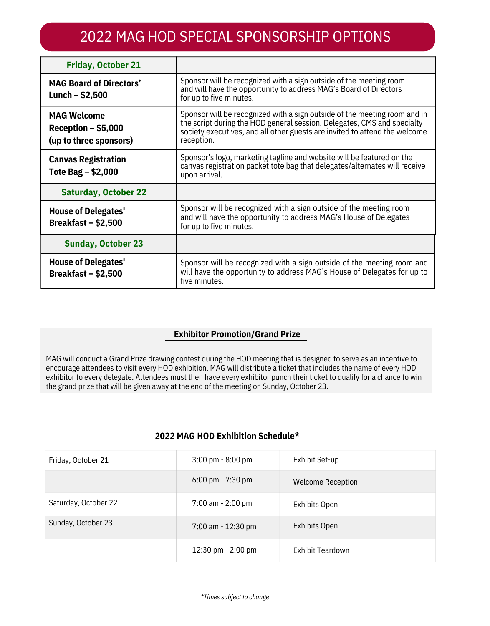## 2022 MAG HOD SPECIAL SPONSORSHIP OPTIONS

| <b>Friday, October 21</b>                                            |                                                                                                                                                                                                                                                  |
|----------------------------------------------------------------------|--------------------------------------------------------------------------------------------------------------------------------------------------------------------------------------------------------------------------------------------------|
| <b>MAG Board of Directors'</b><br>Lunch $-$ \$2,500                  | Sponsor will be recognized with a sign outside of the meeting room<br>and will have the opportunity to address MAG's Board of Directors<br>for up to five minutes.                                                                               |
| <b>MAG Welcome</b><br>$Reception - $5,000$<br>(up to three sponsors) | Sponsor will be recognized with a sign outside of the meeting room and in<br>the script during the HOD general session. Delegates, CMS and specialty<br>society executives, and all other guests are invited to attend the welcome<br>reception. |
| <b>Canvas Registration</b><br>Tote Bag – \$2,000                     | Sponsor's logo, marketing tagline and website will be featured on the<br>canvas registration packet tote bag that delegates/alternates will receive<br>upon arrival.                                                                             |
| <b>Saturday, October 22</b>                                          |                                                                                                                                                                                                                                                  |
| <b>House of Delegates'</b><br>Breakfast – $$2,500$                   | Sponsor will be recognized with a sign outside of the meeting room<br>and will have the opportunity to address MAG's House of Delegates<br>for up to five minutes.                                                                               |
| <b>Sunday, October 23</b>                                            |                                                                                                                                                                                                                                                  |
| <b>House of Delegates'</b><br>Breakfast $-$ \$2,500                  | Sponsor will be recognized with a sign outside of the meeting room and<br>will have the opportunity to address MAG's House of Delegates for up to<br>five minutes.                                                                               |

#### **Exhibitor Promotion/Grand Prize**

MAG will conduct a Grand Prize drawing contest during the HOD meeting that is designed to serve as an incentive to encourage attendees to visit every HOD exhibition. MAG will distribute a ticket that includes the name of every HOD exhibitor to every delegate. Attendees must then have every exhibitor punch their ticket to qualify for a chance to win the grand prize that will be given away at the end of the meeting on Sunday, October 23.

#### **2022 MAG HOD Exhibition Schedule\***

| Friday, October 21   | $3:00 \text{ pm} - 8:00 \text{ pm}$ | Exhibit Set-up           |
|----------------------|-------------------------------------|--------------------------|
|                      | $6:00 \text{ pm} - 7:30 \text{ pm}$ | <b>Welcome Reception</b> |
| Saturday, October 22 | $7:00$ am - 2:00 pm                 | <b>Exhibits Open</b>     |
| Sunday, October 23   | 7:00 am - 12:30 pm                  | Exhibits Open            |
|                      | 12:30 pm - 2:00 pm                  | <b>Exhibit Teardown</b>  |